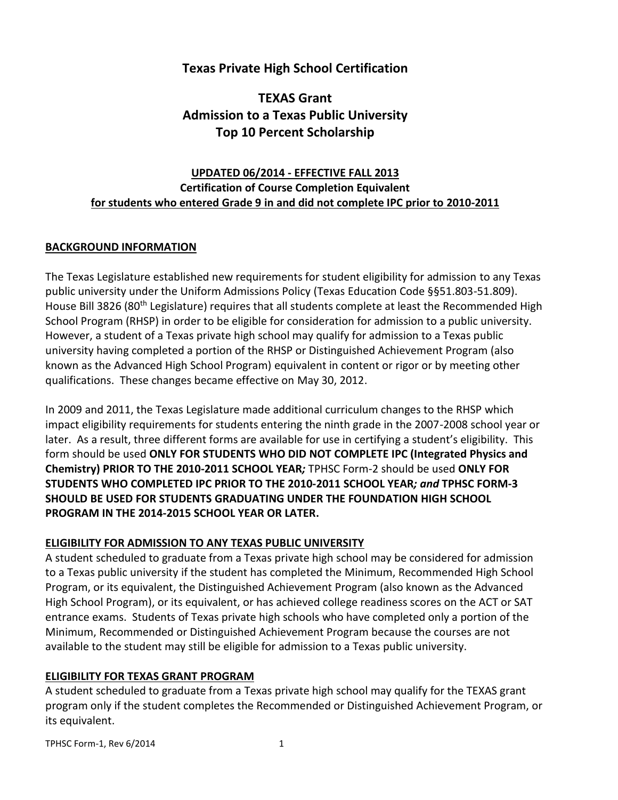## **Texas Private High School Certification**

## **TEXAS Grant Admission to a Texas Public University Top 10 Percent Scholarship**

## **UPDATED 06/2014 - EFFECTIVE FALL 2013 Certification of Course Completion Equivalent for students who entered Grade 9 in and did not complete IPC prior to 2010-2011**

### **BACKGROUND INFORMATION**

The Texas Legislature established new requirements for student eligibility for admission to any Texas public university under the Uniform Admissions Policy (Texas Education Code §§51.803-51.809). House Bill 3826 (80<sup>th</sup> Legislature) requires that all students complete at least the Recommended High School Program (RHSP) in order to be eligible for consideration for admission to a public university. However, a student of a Texas private high school may qualify for admission to a Texas public university having completed a portion of the RHSP or Distinguished Achievement Program (also known as the Advanced High School Program) equivalent in content or rigor or by meeting other qualifications. These changes became effective on May 30, 2012.

In 2009 and 2011, the Texas Legislature made additional curriculum changes to the RHSP which impact eligibility requirements for students entering the ninth grade in the 2007-2008 school year or later. As a result, three different forms are available for use in certifying a student's eligibility. This form should be used **ONLY FOR STUDENTS WHO DID NOT COMPLETE IPC (Integrated Physics and Chemistry) PRIOR TO THE 2010-2011 SCHOOL YEAR***;* TPHSC Form-2 should be used **ONLY FOR STUDENTS WHO COMPLETED IPC PRIOR TO THE 2010-2011 SCHOOL YEAR***; and* **TPHSC FORM-3 SHOULD BE USED FOR STUDENTS GRADUATING UNDER THE FOUNDATION HIGH SCHOOL PROGRAM IN THE 2014-2015 SCHOOL YEAR OR LATER.**

### **ELIGIBILITY FOR ADMISSION TO ANY TEXAS PUBLIC UNIVERSITY**

A student scheduled to graduate from a Texas private high school may be considered for admission to a Texas public university if the student has completed the Minimum, Recommended High School Program, or its equivalent, the Distinguished Achievement Program (also known as the Advanced High School Program), or its equivalent, or has achieved college readiness scores on the ACT or SAT entrance exams. Students of Texas private high schools who have completed only a portion of the Minimum, Recommended or Distinguished Achievement Program because the courses are not available to the student may still be eligible for admission to a Texas public university.

### **ELIGIBILITY FOR TEXAS GRANT PROGRAM**

A student scheduled to graduate from a Texas private high school may qualify for the TEXAS grant program only if the student completes the Recommended or Distinguished Achievement Program, or its equivalent.

TPHSC Form-1, Rev 6/2014 1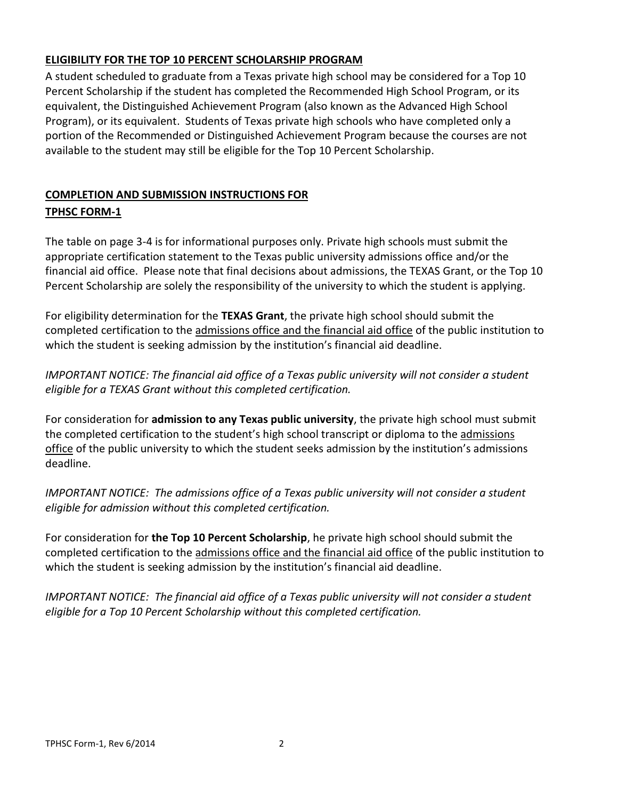## **ELIGIBILITY FOR THE TOP 10 PERCENT SCHOLARSHIP PROGRAM**

A student scheduled to graduate from a Texas private high school may be considered for a Top 10 Percent Scholarship if the student has completed the Recommended High School Program, or its equivalent, the Distinguished Achievement Program (also known as the Advanced High School Program), or its equivalent. Students of Texas private high schools who have completed only a portion of the Recommended or Distinguished Achievement Program because the courses are not available to the student may still be eligible for the Top 10 Percent Scholarship.

## **COMPLETION AND SUBMISSION INSTRUCTIONS FOR TPHSC FORM-1**

The table on page 3-4 is for informational purposes only. Private high schools must submit the appropriate certification statement to the Texas public university admissions office and/or the financial aid office. Please note that final decisions about admissions, the TEXAS Grant, or the Top 10 Percent Scholarship are solely the responsibility of the university to which the student is applying.

For eligibility determination for the **TEXAS Grant**, the private high school should submit the completed certification to the admissions office and the financial aid office of the public institution to which the student is seeking admission by the institution's financial aid deadline.

*IMPORTANT NOTICE: The financial aid office of a Texas public university will not consider a student eligible for a TEXAS Grant without this completed certification.*

For consideration for **admission to any Texas public university**, the private high school must submit the completed certification to the student's high school transcript or diploma to the admissions office of the public university to which the student seeks admission by the institution's admissions deadline.

*IMPORTANT NOTICE: The admissions office of a Texas public university will not consider a student eligible for admission without this completed certification.*

For consideration for **the Top 10 Percent Scholarship**, he private high school should submit the completed certification to the admissions office and the financial aid office of the public institution to which the student is seeking admission by the institution's financial aid deadline.

*IMPORTANT NOTICE: The financial aid office of a Texas public university will not consider a student eligible for a Top 10 Percent Scholarship without this completed certification.*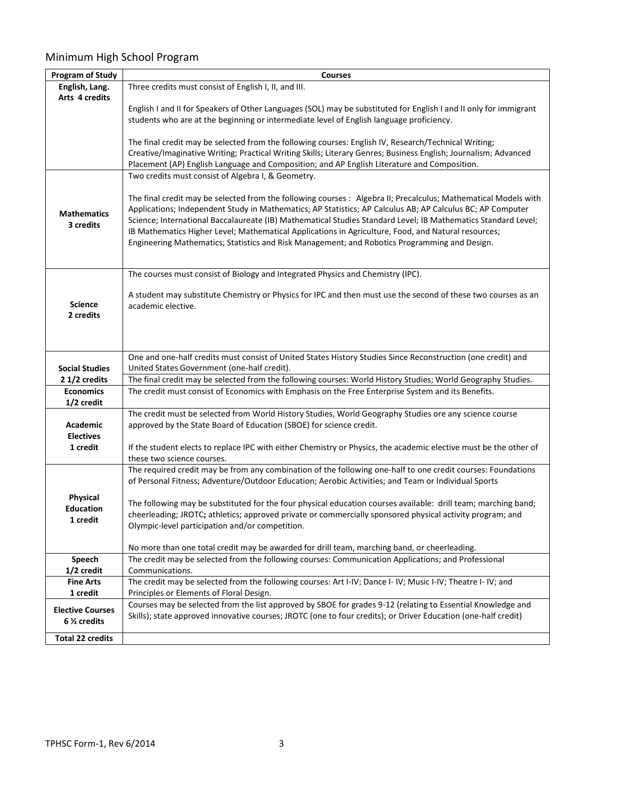# Minimum High School Program

| <b>Program of Study</b> | <b>Courses</b>                                                                                                    |
|-------------------------|-------------------------------------------------------------------------------------------------------------------|
| English, Lang.          | Three credits must consist of English I, II, and III.                                                             |
| Arts 4 credits          |                                                                                                                   |
|                         | English I and II for Speakers of Other Languages (SOL) may be substituted for English I and II only for immigrant |
|                         | students who are at the beginning or intermediate level of English language proficiency.                          |
|                         |                                                                                                                   |
|                         | The final credit may be selected from the following courses: English IV, Research/Technical Writing;              |
|                         | Creative/Imaginative Writing; Practical Writing Skills; Literary Genres; Business English; Journalism; Advanced   |
|                         | Placement (AP) English Language and Composition; and AP English Literature and Composition.                       |
|                         | Two credits must consist of Algebra I, & Geometry.                                                                |
|                         |                                                                                                                   |
|                         | The final credit may be selected from the following courses: Algebra II; Precalculus; Mathematical Models with    |
|                         | Applications; Independent Study in Mathematics; AP Statistics; AP Calculus AB; AP Calculus BC; AP Computer        |
| <b>Mathematics</b>      | Science; International Baccalaureate (IB) Mathematical Studies Standard Level; IB Mathematics Standard Level;     |
| 3 credits               | IB Mathematics Higher Level; Mathematical Applications in Agriculture, Food, and Natural resources;               |
|                         | Engineering Mathematics; Statistics and Risk Management; and Robotics Programming and Design.                     |
|                         |                                                                                                                   |
|                         |                                                                                                                   |
|                         | The courses must consist of Biology and Integrated Physics and Chemistry (IPC).                                   |
|                         |                                                                                                                   |
|                         | A student may substitute Chemistry or Physics for IPC and then must use the second of these two courses as an     |
| <b>Science</b>          | academic elective.                                                                                                |
| 2 credits               |                                                                                                                   |
|                         |                                                                                                                   |
|                         |                                                                                                                   |
|                         | One and one-half credits must consist of United States History Studies Since Reconstruction (one credit) and      |
| <b>Social Studies</b>   | United States Government (one-half credit).                                                                       |
| 21/2 credits            | The final credit may be selected from the following courses: World History Studies; World Geography Studies.      |
| <b>Economics</b>        | The credit must consist of Economics with Emphasis on the Free Enterprise System and its Benefits.                |
| 1/2 credit              |                                                                                                                   |
|                         | The credit must be selected from World History Studies, World Geography Studies ore any science course            |
| Academic                | approved by the State Board of Education (SBOE) for science credit.                                               |
| <b>Electives</b>        |                                                                                                                   |
| 1 credit                | If the student elects to replace IPC with either Chemistry or Physics, the academic elective must be the other of |
|                         | these two science courses.                                                                                        |
|                         | The required credit may be from any combination of the following one-half to one credit courses: Foundations      |
|                         | of Personal Fitness; Adventure/Outdoor Education; Aerobic Activities; and Team or Individual Sports               |
|                         |                                                                                                                   |
| Physical                | The following may be substituted for the four physical education courses available: drill team; marching band;    |
| <b>Education</b>        | cheerleading; JROTC; athletics; approved private or commercially sponsored physical activity program; and         |
| 1 credit                | Olympic-level participation and/or competition.                                                                   |
|                         |                                                                                                                   |
|                         | No more than one total credit may be awarded for drill team, marching band, or cheerleading.                      |
| Speech                  | The credit may be selected from the following courses: Communication Applications; and Professional               |
| 1/2 credit              | Communications.                                                                                                   |
| <b>Fine Arts</b>        | The credit may be selected from the following courses: Art I-IV; Dance I- IV; Music I-IV; Theatre I- IV; and      |
| 1 credit                | Principles or Elements of Floral Design.                                                                          |
|                         | Courses may be selected from the list approved by SBOE for grades 9-12 (relating to Essential Knowledge and       |
| <b>Elective Courses</b> | Skills); state approved innovative courses; JROTC (one to four credits); or Driver Education (one-half credit)    |
| 6 % credits             |                                                                                                                   |
| <b>Total 22 credits</b> |                                                                                                                   |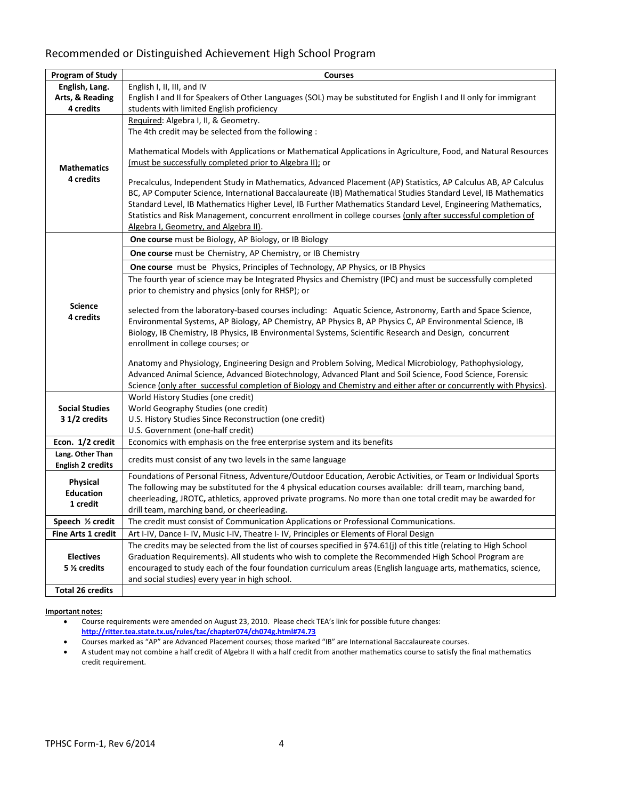## Recommended or Distinguished Achievement High School Program

| <b>Program of Study</b>                | <b>Courses</b>                                                                                                     |
|----------------------------------------|--------------------------------------------------------------------------------------------------------------------|
| English, Lang.                         | English I, II, III, and IV                                                                                         |
| Arts, & Reading                        | English I and II for Speakers of Other Languages (SOL) may be substituted for English I and II only for immigrant  |
| 4 credits                              | students with limited English proficiency                                                                          |
|                                        | Required: Algebra I, II, & Geometry.                                                                               |
|                                        | The 4th credit may be selected from the following :                                                                |
|                                        |                                                                                                                    |
|                                        | Mathematical Models with Applications or Mathematical Applications in Agriculture, Food, and Natural Resources     |
| <b>Mathematics</b>                     | (must be successfully completed prior to Algebra II); or                                                           |
| 4 credits                              | Precalculus, Independent Study in Mathematics, Advanced Placement (AP) Statistics, AP Calculus AB, AP Calculus     |
|                                        | BC, AP Computer Science, International Baccalaureate (IB) Mathematical Studies Standard Level, IB Mathematics      |
|                                        | Standard Level, IB Mathematics Higher Level, IB Further Mathematics Standard Level, Engineering Mathematics,       |
|                                        | Statistics and Risk Management, concurrent enrollment in college courses (only after successful completion of      |
|                                        | Algebra I, Geometry, and Algebra II).                                                                              |
|                                        | One course must be Biology, AP Biology, or IB Biology                                                              |
|                                        | One course must be Chemistry, AP Chemistry, or IB Chemistry                                                        |
|                                        | One course must be Physics, Principles of Technology, AP Physics, or IB Physics                                    |
|                                        | The fourth year of science may be Integrated Physics and Chemistry (IPC) and must be successfully completed        |
|                                        | prior to chemistry and physics (only for RHSP); or                                                                 |
| <b>Science</b>                         | selected from the laboratory-based courses including: Aquatic Science, Astronomy, Earth and Space Science,         |
| 4 credits                              | Environmental Systems, AP Biology, AP Chemistry, AP Physics B, AP Physics C, AP Environmental Science, IB          |
|                                        | Biology, IB Chemistry, IB Physics, IB Environmental Systems, Scientific Research and Design, concurrent            |
|                                        | enrollment in college courses; or                                                                                  |
|                                        |                                                                                                                    |
|                                        | Anatomy and Physiology, Engineering Design and Problem Solving, Medical Microbiology, Pathophysiology,             |
|                                        | Advanced Animal Science, Advanced Biotechnology, Advanced Plant and Soil Science, Food Science, Forensic           |
|                                        | Science (only after successful completion of Biology and Chemistry and either after or concurrently with Physics). |
|                                        | World History Studies (one credit)                                                                                 |
| <b>Social Studies</b><br>3 1/2 credits | World Geography Studies (one credit)                                                                               |
|                                        | U.S. History Studies Since Reconstruction (one credit)<br>U.S. Government (one-half credit)                        |
| Econ. 1/2 credit                       | Economics with emphasis on the free enterprise system and its benefits                                             |
| Lang. Other Than                       |                                                                                                                    |
| <b>English 2 credits</b>               | credits must consist of any two levels in the same language                                                        |
| <b>Physical</b>                        | Foundations of Personal Fitness, Adventure/Outdoor Education, Aerobic Activities, or Team or Individual Sports     |
| <b>Education</b>                       | The following may be substituted for the 4 physical education courses available: drill team, marching band,        |
| 1 credit                               | cheerleading, JROTC, athletics, approved private programs. No more than one total credit may be awarded for        |
|                                        | drill team, marching band, or cheerleading.                                                                        |
| Speech 1/2 credit                      | The credit must consist of Communication Applications or Professional Communications.                              |
| <b>Fine Arts 1 credit</b>              | Art I-IV, Dance I- IV, Music I-IV, Theatre I- IV, Principles or Elements of Floral Design                          |
|                                        | The credits may be selected from the list of courses specified in §74.61(j) of this title (relating to High School |
| <b>Electives</b>                       | Graduation Requirements). All students who wish to complete the Recommended High School Program are                |
| 5 % credits                            | encouraged to study each of the four foundation curriculum areas (English language arts, mathematics, science,     |
|                                        | and social studies) every year in high school.                                                                     |
| <b>Total 26 credits</b>                |                                                                                                                    |

#### **Important notes:**

 Course requirements were amended on August 23, 2010. Please check TEA's link for possible future changes[:](http://ritter.tea.state.tx.us/rules/tac/chapter074/ch074f.html)  **[http://ritter.tea.state.tx.us/rules/tac/chapter074/ch074g.html#74.73](http://ritter.tea.state.tx.us/rules/tac/chapter074/ch074f.html)** 

- Courses marked as "AP" are Advanced Placement courses; those marked "IB" are International Baccalaureate courses.
- A student may not combine a half credit of Algebra II with a half credit from another mathematics course to satisfy the final mathematics credit requirement.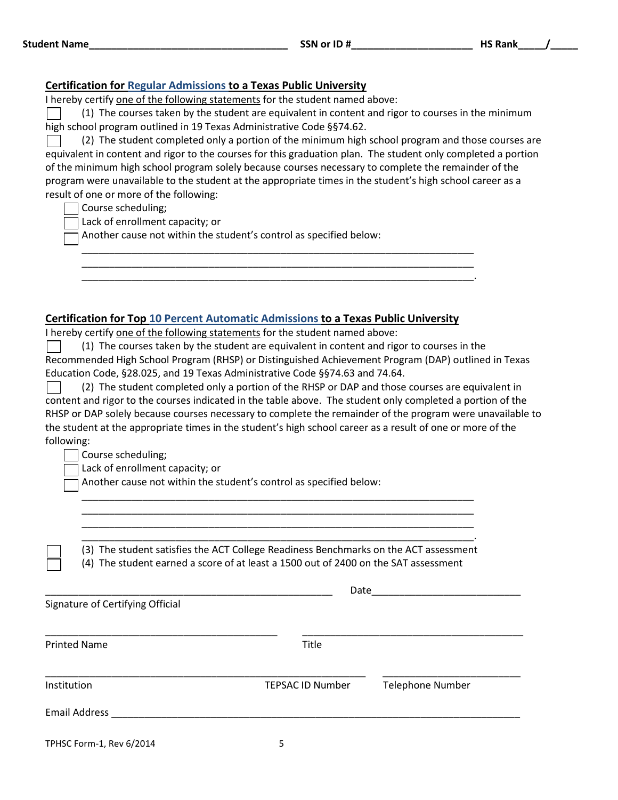### **Certification for Regular Admissions to a Texas Public University**

I hereby certify one of the following statements for the student named above:

(1) The courses taken by the student are equivalent in content and rigor to courses in the minimum high school program outlined in 19 Texas Administrative Code §§74.62.

(2) The student completed only a portion of the minimum high school program and those courses are equivalent in content and rigor to the courses for this graduation plan. The student only completed a portion of the minimum high school program solely because courses necessary to complete the remainder of the program were unavailable to the student at the appropriate times in the student's high school career as a result of one or more of the following:

\_\_\_\_\_\_\_\_\_\_\_\_\_\_\_\_\_\_\_\_\_\_\_\_\_\_\_\_\_\_\_\_\_\_\_\_\_\_\_\_\_\_\_\_\_\_\_\_\_\_\_\_\_\_\_\_\_\_\_\_\_\_\_\_\_\_\_\_\_\_\_ \_\_\_\_\_\_\_\_\_\_\_\_\_\_\_\_\_\_\_\_\_\_\_\_\_\_\_\_\_\_\_\_\_\_\_\_\_\_\_\_\_\_\_\_\_\_\_\_\_\_\_\_\_\_\_\_\_\_\_\_\_\_\_\_\_\_\_\_\_\_\_ \_\_\_\_\_\_\_\_\_\_\_\_\_\_\_\_\_\_\_\_\_\_\_\_\_\_\_\_\_\_\_\_\_\_\_\_\_\_\_\_\_\_\_\_\_\_\_\_\_\_\_\_\_\_\_\_\_\_\_\_\_\_\_\_\_\_\_\_\_\_\_.

Course scheduling;

Lack of enrollment capacity; or

Another cause not within the student's control as specified below:

### **Certification for Top 10 Percent Automatic Admissions to a Texas Public University**

I hereby certify one of the following statements for the student named above:

(1) The courses taken by the student are equivalent in content and rigor to courses in the Recommended High School Program (RHSP) or Distinguished Achievement Program (DAP) outlined in Texas Education Code, §28.025, and 19 Texas Administrative Code §§74.63 and 74.64.

(2) The student completed only a portion of the RHSP or DAP and those courses are equivalent in content and rigor to the courses indicated in the table above. The student only completed a portion of the RHSP or DAP solely because courses necessary to complete the remainder of the program were unavailable to the student at the appropriate times in the student's high school career as a result of one or more of the following:

Course scheduling;

Lack of enrollment capacity; or

Another cause not within the student's control as specified below:

\_\_\_\_\_\_\_\_\_\_\_\_\_\_\_\_\_\_\_\_\_\_\_\_\_\_\_\_\_\_\_\_\_\_\_\_\_\_\_\_\_\_\_\_\_\_\_\_\_\_\_\_\_\_\_\_\_\_\_\_\_\_\_\_\_\_\_\_\_\_\_. (3) The student satisfies the ACT College Readiness Benchmarks on the ACT assessment (4) The student earned a score of at least a 1500 out of 2400 on the SAT assessment

\_\_\_\_\_\_\_\_\_\_\_\_\_\_\_\_\_\_\_\_\_\_\_\_\_\_\_\_\_\_\_\_\_\_\_\_\_\_\_\_\_\_\_\_\_\_\_\_\_\_\_\_\_\_\_\_\_\_\_\_\_\_\_\_\_\_\_\_\_\_\_ \_\_\_\_\_\_\_\_\_\_\_\_\_\_\_\_\_\_\_\_\_\_\_\_\_\_\_\_\_\_\_\_\_\_\_\_\_\_\_\_\_\_\_\_\_\_\_\_\_\_\_\_\_\_\_\_\_\_\_\_\_\_\_\_\_\_\_\_\_\_\_ \_\_\_\_\_\_\_\_\_\_\_\_\_\_\_\_\_\_\_\_\_\_\_\_\_\_\_\_\_\_\_\_\_\_\_\_\_\_\_\_\_\_\_\_\_\_\_\_\_\_\_\_\_\_\_\_\_\_\_\_\_\_\_\_\_\_\_\_\_\_\_

TPHSC Form-1, Rev 6/2014 5 \_\_\_\_\_\_\_\_\_\_\_\_\_\_\_\_\_\_\_\_\_\_\_\_\_\_\_\_\_\_\_\_\_\_\_\_\_\_\_\_\_\_\_\_\_\_\_\_\_\_\_\_ Date\_\_\_\_\_\_\_\_\_\_\_\_\_\_\_\_\_\_\_\_\_\_\_\_\_\_\_ Signature of Certifying Official \_\_\_\_\_\_\_\_\_\_\_\_\_\_\_\_\_\_\_\_\_\_\_\_\_\_\_\_\_\_\_\_\_\_\_\_\_\_\_\_\_\_ \_\_\_\_\_\_\_\_\_\_\_\_\_\_\_\_\_\_\_\_\_\_\_\_\_\_\_\_\_\_\_\_\_\_\_\_\_\_\_\_ Printed Name Title \_\_\_\_\_\_\_\_\_\_\_\_\_\_\_\_\_\_\_\_\_\_\_\_\_\_\_\_\_\_\_\_\_\_\_\_\_\_\_\_\_\_\_\_\_\_\_\_\_\_\_\_\_\_\_\_\_\_ \_\_\_\_\_\_\_\_\_\_\_\_\_\_\_\_\_\_\_\_\_\_\_\_\_ Institution TEPSAC ID Number Telephone Number Email Address \_\_\_\_\_\_\_\_\_\_\_\_\_\_\_\_\_\_\_\_\_\_\_\_\_\_\_\_\_\_\_\_\_\_\_\_\_\_\_\_\_\_\_\_\_\_\_\_\_\_\_\_\_\_\_\_\_\_\_\_\_\_\_\_\_\_\_\_\_\_\_\_\_\_